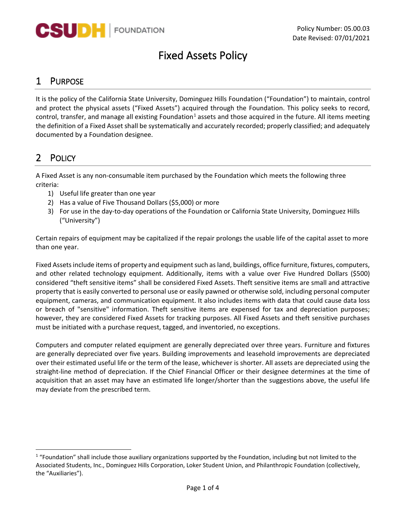

# Fixed Assets Policy

# 1 PURPOSE

It is the policy of the California State University, Dominguez Hills Foundation ("Foundation") to maintain, control and protect the physical assets ("Fixed Assets") acquired through the Foundation. This policy seeks to record, control, transfer, and manage all existing Foundation<sup>[1](#page-0-0)</sup> assets and those acquired in the future. All items meeting the definition of a Fixed Asset shall be systematically and accurately recorded; properly classified; and adequately documented by a Foundation designee.

# 2 POLICY

A Fixed Asset is any non-consumable item purchased by the Foundation which meets the following three criteria:

- 1) Useful life greater than one year
- 2) Has a value of Five Thousand Dollars (\$5,000) or more
- 3) For use in the day-to-day operations of the Foundation or California State University, Dominguez Hills ("University")

Certain repairs of equipment may be capitalized if the repair prolongs the usable life of the capital asset to more than one year.

Fixed Assets include items of property and equipment such as land, buildings, office furniture, fixtures, computers, and other related technology equipment. Additionally, items with a value over Five Hundred Dollars (\$500) considered "theft sensitive items" shall be considered Fixed Assets. Theft sensitive items are small and attractive property that is easily converted to personal use or easily pawned or otherwise sold, including personal computer equipment, cameras, and communication equipment. It also includes items with data that could cause data loss or breach of "sensitive" information. Theft sensitive items are expensed for tax and depreciation purposes; however, they are considered Fixed Assets for tracking purposes. All Fixed Assets and theft sensitive purchases must be initiated with a purchase request, tagged, and inventoried, no exceptions.

Computers and computer related equipment are generally depreciated over three years. Furniture and fixtures are generally depreciated over five years. Building improvements and leasehold improvements are depreciated over their estimated useful life or the term of the lease, whichever is shorter. All assets are depreciated using the straight-line method of depreciation. If the Chief Financial Officer or their designee determines at the time of acquisition that an asset may have an estimated life longer/shorter than the suggestions above, the useful life may deviate from the prescribed term.

<span id="page-0-0"></span> $1$  "Foundation" shall include those auxiliary organizations supported by the Foundation, including but not limited to the Associated Students, Inc., Dominguez Hills Corporation, Loker Student Union, and Philanthropic Foundation (collectively, the "Auxiliaries").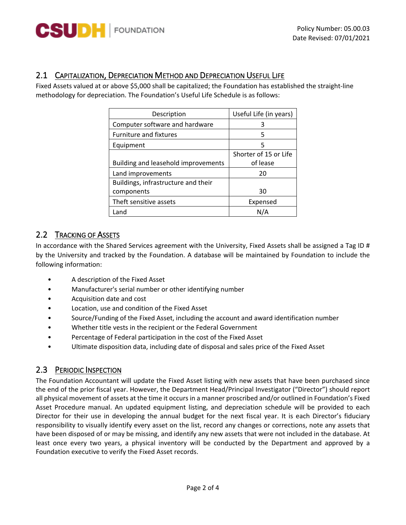

### 2.1 CAPITALIZATION, DEPRECIATION METHOD AND DEPRECIATION USEFUL LIFE

Fixed Assets valued at or above \$5,000 shall be capitalized; the Foundation has established the straight-line methodology for depreciation. The Foundation's Useful Life Schedule is as follows:

| Description                         | Useful Life (in years) |
|-------------------------------------|------------------------|
| Computer software and hardware      | 3                      |
| <b>Furniture and fixtures</b>       | 5                      |
| Equipment                           | 5                      |
|                                     | Shorter of 15 or Life  |
| Building and leasehold improvements | of lease               |
| Land improvements                   | 20                     |
| Buildings, infrastructure and their |                        |
| components                          | 30                     |
| Theft sensitive assets              | Expensed               |
| Land                                | N/A                    |

## 2.2 TRACKING OF ASSETS

In accordance with the Shared Services agreement with the University, Fixed Assets shall be assigned a Tag ID # by the University and tracked by the Foundation. A database will be maintained by Foundation to include the following information:

- A description of the Fixed Asset
- Manufacturer's serial number or other identifying number
- Acquisition date and cost
- Location, use and condition of the Fixed Asset
- Source/Funding of the Fixed Asset, including the account and award identification number
- Whether title vests in the recipient or the Federal Government
- Percentage of Federal participation in the cost of the Fixed Asset
- Ultimate disposition data, including date of disposal and sales price of the Fixed Asset

#### 2.3 PERIODIC INSPECTION

The Foundation Accountant will update the Fixed Asset listing with new assets that have been purchased since the end of the prior fiscal year. However, the Department Head/Principal Investigator ("Director") should report all physical movement of assets at the time it occurs in a manner proscribed and/or outlined in Foundation's Fixed Asset Procedure manual. An updated equipment listing, and depreciation schedule will be provided to each Director for their use in developing the annual budget for the next fiscal year. It is each Director's fiduciary responsibility to visually identify every asset on the list, record any changes or corrections, note any assets that have been disposed of or may be missing, and identify any new assets that were not included in the database. At least once every two years, a physical inventory will be conducted by the Department and approved by a Foundation executive to verify the Fixed Asset records.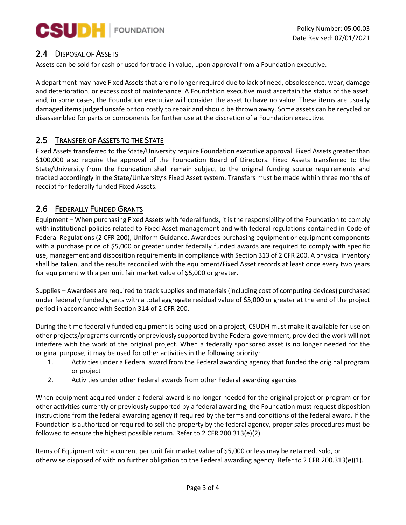

### 2.4 DISPOSAL OF ASSETS

Assets can be sold for cash or used for trade-in value, upon approval from a Foundation executive.

A department may have Fixed Assets that are no longer required due to lack of need, obsolescence, wear, damage and deterioration, or excess cost of maintenance. A Foundation executive must ascertain the status of the asset, and, in some cases, the Foundation executive will consider the asset to have no value. These items are usually damaged items judged unsafe or too costly to repair and should be thrown away. Some assets can be recycled or disassembled for parts or components for further use at the discretion of a Foundation executive.

#### 2.5 TRANSFER OF ASSETS TO THE STATE

Fixed Assets transferred to the State/University require Foundation executive approval. Fixed Assets greater than \$100,000 also require the approval of the Foundation Board of Directors. Fixed Assets transferred to the State/University from the Foundation shall remain subject to the original funding source requirements and tracked accordingly in the State/University's Fixed Asset system. Transfers must be made within three months of receipt for federally funded Fixed Assets.

### 2.6 FEDERALLY FUNDED GRANTS

Equipment – When purchasing Fixed Assets with federal funds, it is the responsibility of the Foundation to comply with institutional policies related to Fixed Asset management and with federal regulations contained in Code of Federal Regulations (2 CFR 200), Uniform Guidance. Awardees purchasing equipment or equipment components with a purchase price of \$5,000 or greater under federally funded awards are required to comply with specific use, management and disposition requirements in compliance with Section 313 of 2 CFR 200. A physical inventory shall be taken, and the results reconciled with the equipment/Fixed Asset records at least once every two years for equipment with a per unit fair market value of \$5,000 or greater.

Supplies – Awardees are required to track supplies and materials (including cost of computing devices) purchased under federally funded grants with a total aggregate residual value of \$5,000 or greater at the end of the project period in accordance with Section 314 of 2 CFR 200.

During the time federally funded equipment is being used on a project, CSUDH must make it available for use on other projects/programs currently or previously supported by the Federal government, provided the work will not interfere with the work of the original project. When a federally sponsored asset is no longer needed for the original purpose, it may be used for other activities in the following priority:

- 1. Activities under a Federal award from the Federal awarding agency that funded the original program or project
- 2. Activities under other Federal awards from other Federal awarding agencies

When equipment acquired under a federal award is no longer needed for the original project or program or for other activities currently or previously supported by a federal awarding, the Foundation must request disposition instructions from the federal awarding agency if required by the terms and conditions of the federal award. If the Foundation is authorized or required to sell the property by the federal agency, proper sales procedures must be followed to ensure the highest possible return. Refer to 2 CFR 200.313(e)(2).

Items of Equipment with a current per unit fair market value of \$5,000 or less may be retained, sold, or otherwise disposed of with no further obligation to the Federal awarding agency. Refer to 2 CFR 200.313(e)(1).